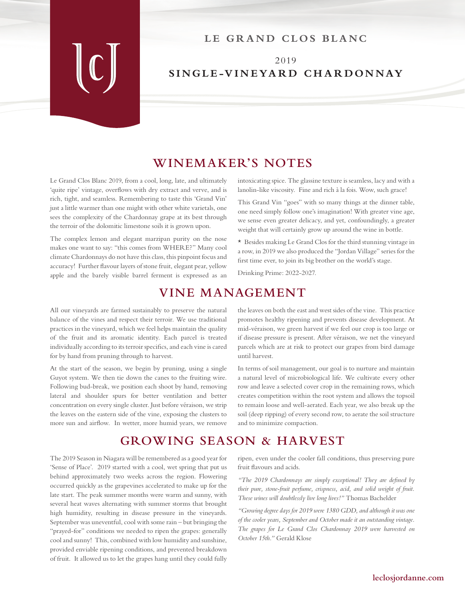#### LE GRAND CLOS BLANC

### 2019 **SINGLE-VINEYARD CHARDONNAY**

#### **WINEMAKER'S NOTES**

Le Grand Clos Blanc 2019, from a cool, long, late, and ultimately 'quite ripe' vintage, overflows with dry extract and verve, and is rich, tight, and seamless. Remembering to taste this 'Grand Vin' just a little warmer than one might with other white varietals, one sees the complexity of the Chardonnay grape at its best through the terroir of the dolomitic limestone soils it is grown upon.

The complex lemon and elegant marzipan purity on the nose makes one want to say: "this comes from WHERE?" Many cool climate Chardonnays do not have this class, this pinpoint focus and accuracy! Further flavour layers of stone fruit, elegant pear, yellow apple and the barely visible barrel ferment is expressed as an intoxicating spice. The glassine texture is seamless, lacy and with a lanolin-like viscosity. Fine and rich à la fois. Wow, such grace!

This Grand Vin "goes" with so many things at the dinner table, one need simply follow one's imagination! With greater vine age, we sense even greater delicacy, and yet, confoundingly, a greater weight that will certainly grow up around the wine in bottle.

\* Besides making Le Grand Clos for the third stunning vintage in a row, in 2019 we also produced the "Jordan Village" series for the first time ever, to join its big brother on the world's stage.

Drinking Prime: 2022-2027.

## **VINE MANAGEMENT**

All our vineyards are farmed sustainably to preserve the natural balance of the vines and respect their terroir. We use traditional practices in the vineyard, which we feel helps maintain the quality of the fruit and its aromatic identity. Each parcel is treated individually according to its terroir specifics, and each vine is cared for by hand from pruning through to harvest.

At the start of the season, we begin by pruning, using a single Guyot system. We then tie down the canes to the fruiting wire. Following bud-break, we position each shoot by hand, removing lateral and shoulder spurs for better ventilation and better concentration on every single cluster. Just before véraison, we strip the leaves on the eastern side of the vine, exposing the clusters to more sun and airflow. In wetter, more humid years, we remove

the leaves on both the east and west sides of the vine. This practice promotes healthy ripening and prevents disease development. At mid-véraison, we green harvest if we feel our crop is too large or if disease pressure is present. After véraison, we net the vineyard parcels which are at risk to protect our grapes from bird damage until harvest.

In terms of soil management, our goal is to nurture and maintain a natural level of microbiological life. We cultivate every other row and leave a selected cover crop in the remaining rows, which creates competition within the root system and allows the topsoil to remain loose and well-aerated. Each year, we also break up the soil (deep ripping) of every second row, to aerate the soil structure and to minimize compaction.

# **GROWING SEASON & HARVEST**

The 2019 Season in Niagara will be remembered as a good year for 'Sense of Place'. 2019 started with a cool, wet spring that put us behind approximately two weeks across the region. Flowering occurred quickly as the grapevines accelerated to make up for the late start. The peak summer months were warm and sunny, with several heat waves alternating with summer storms that brought high humidity, resulting in disease pressure in the vineyards. September was uneventful, cool with some rain – but bringing the "prayed-for" conditions we needed to ripen the grapes: generally cool and sunny! This, combined with low humidity and sunshine, provided enviable ripening conditions, and prevented breakdown of fruit. It allowed us to let the grapes hang until they could fully

ripen, even under the cooler fall conditions, thus preserving pure fruit flavours and acids.

*"The 2019 Chardonnays are simply exceptional! They are defined by their pure, stone-fruit perfume, crispness, acid, and solid weight of fruit. These wines will doubtlessly live long lives!"* Thomas Bachelder

*"Growing degree days for 2019 were 1380 GDD, and although it was one of the cooler years, September and October made it an outstanding vintage. The grapes for Le Grand Clos Chardonnay 2019 were harvested on October 15th."* Gerald Klose